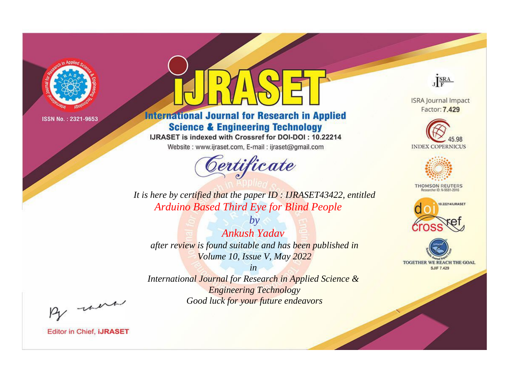

# **International Journal for Research in Applied Science & Engineering Technology**

IJRASET is indexed with Crossref for DOI-DOI: 10.22214

Website: www.ijraset.com, E-mail: ijraset@gmail.com



JERA

**ISRA Journal Impact** Factor: 7.429





**THOMSON REUTERS** 



TOGETHER WE REACH THE GOAL **SJIF 7.429** 

*It is here by certified that the paper ID : IJRASET43422, entitled Arduino Based Third Eye for Blind People*

*by Ankush Yadav after review is found suitable and has been published in Volume 10, Issue V, May 2022*

*in* 

*International Journal for Research in Applied Science & Engineering Technology Good luck for your future endeavors*

By morn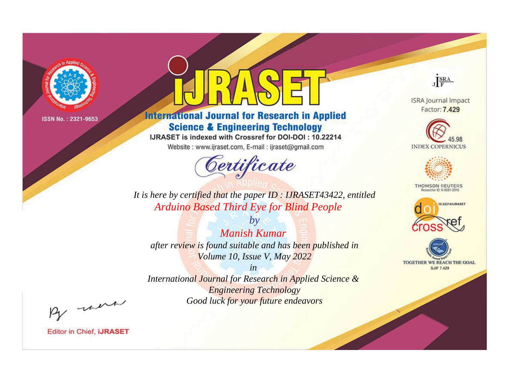

# **International Journal for Research in Applied Science & Engineering Technology**

IJRASET is indexed with Crossref for DOI-DOI: 10.22214

Website: www.ijraset.com, E-mail: ijraset@gmail.com



JERA

**ISRA Journal Impact** Factor: 7.429





**THOMSON REUTERS** 



TOGETHER WE REACH THE GOAL **SJIF 7.429** 

*It is here by certified that the paper ID : IJRASET43422, entitled Arduino Based Third Eye for Blind People*

*by Manish Kumar after review is found suitable and has been published in Volume 10, Issue V, May 2022*

*in* 

*International Journal for Research in Applied Science & Engineering Technology Good luck for your future endeavors*

By morn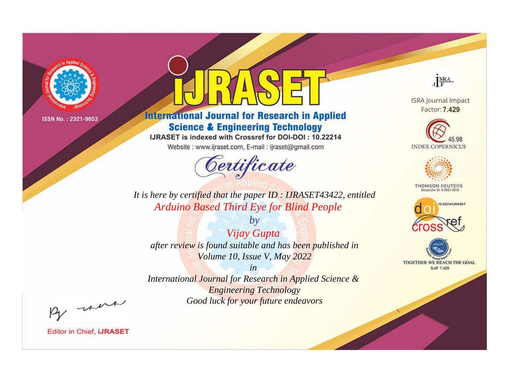

# **International Journal for Research in Applied Science & Engineering Technology**

IJRASET is indexed with Crossref for DOI-DOI: 10.22214

Website: www.ijraset.com, E-mail: ijraset@gmail.com



JERA

**ISRA Journal Impact** Factor: 7.429





**THOMSON REUTERS** 



TOGETHER WE REACH THE GOAL **SJIF 7.429** 

*It is here by certified that the paper ID : IJRASET43422, entitled Arduino Based Third Eye for Blind People*

*by Vijay Gupta after review is found suitable and has been published in Volume 10, Issue V, May 2022*

*in* 

*International Journal for Research in Applied Science & Engineering Technology Good luck for your future endeavors*

By morn